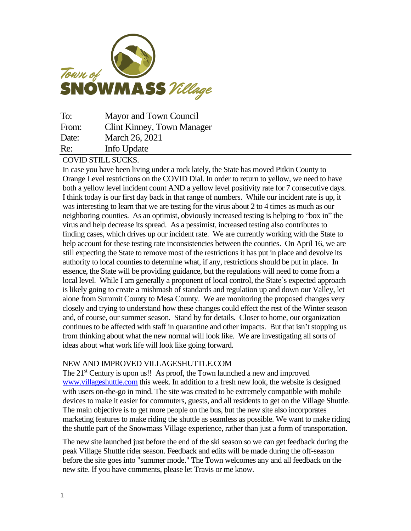

| To:   | Mayor and Town Council            |
|-------|-----------------------------------|
| From: | <b>Clint Kinney, Town Manager</b> |
| Date: | March 26, 2021                    |
| Re:   | Info Update                       |

COVID STILL SUCKS.

In case you have been living under a rock lately, the State has moved Pitkin County to Orange Level restrictions on the COVID Dial. In order to return to yellow, we need to have both a yellow level incident count AND a yellow level positivity rate for 7 consecutive days. I think today is our first day back in that range of numbers. While our incident rate is up, it was interesting to learn that we are testing for the virus about 2 to 4 times as much as our neighboring counties. As an optimist, obviously increased testing is helping to "box in" the virus and help decrease its spread. As a pessimist, increased testing also contributes to finding cases, which drives up our incident rate. We are currently working with the State to help account for these testing rate inconsistencies between the counties. On April 16, we are still expecting the State to remove most of the restrictions it has put in place and devolve its authority to local counties to determine what, if any, restrictions should be put in place. In essence, the State will be providing guidance, but the regulations will need to come from a local level. While I am generally a proponent of local control, the State's expected approach is likely going to create a mishmash of standards and regulation up and down our Valley, let alone from Summit County to Mesa County. We are monitoring the proposed changes very closely and trying to understand how these changes could effect the rest of the Winter season and, of course, our summer season. Stand by for details. Closer to home, our organization continues to be affected with staff in quarantine and other impacts. But that isn't stopping us from thinking about what the new normal will look like. We are investigating all sorts of ideas about what work life will look like going forward.

## NEW AND IMPROVED VILLAGESHUTTLE.COM

The 21<sup>st</sup> Century is upon us!! As proof, the Town launched a new and improved [www.villageshuttle.com](http://www.villageshuttle.com/) this week. In addition to a fresh new look, the website is designed with users on-the-go in mind. The site was created to be extremely compatible with mobile devices to make it easier for commuters, guests, and all residents to get on the Village Shuttle. The main objective is to get more people on the bus, but the new site also incorporates marketing features to make riding the shuttle as seamless as possible. We want to make riding the shuttle part of the Snowmass Village experience, rather than just a form of transportation.

The new site launched just before the end of the ski season so we can get feedback during the peak Village Shuttle rider season. Feedback and edits will be made during the off-season before the site goes into "summer mode." The Town welcomes any and all feedback on the new site. If you have comments, please let Travis or me know.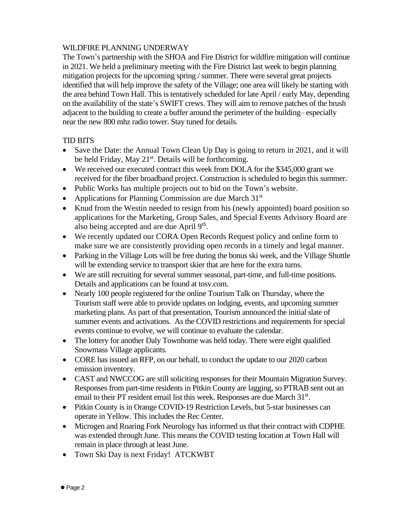## WILDFIRE PLANNING UNDERWAY

The Town's partnership with the SHOA and Fire District for wildfire mitigation will continue in 2021. We held a preliminary meeting with the Fire District last week to begin planning mitigation projects for the upcoming spring / summer. There were several great projects identified that will help improve the safety of the Village; one area will likely be starting with the area behind Town Hall. This is tentatively scheduled for late April / early May, depending on the availability of the state's SWIFT crews. They will aim to remove patches of the brush adjacent to the building to create a buffer around the perimeter of the building– especially near the new 800 mhz radio tower. Stay tuned for details.

## TID BITS

- Save the Date: the Annual Town Clean Up Day is going to return in 2021, and it will be held Friday, May 21<sup>st</sup>. Details will be forthcoming.
- We received our executed contract this week from DOLA for the \$345,000 grant we received for the fiber broadband project. Construction is scheduled to begin this summer.
- Public Works has multiple projects out to bid on the Town's website.
- Applications for Planning Commission are due March  $31<sup>st</sup>$
- Knud from the Westin needed to resign from his (newly appointed) board position so applications for the Marketing, Group Sales, and Special Events Advisory Board are also being accepted and are due April 9<sup>th</sup>.
- We recently updated our CORA Open Records Request policy and online form to make sure we are consistently providing open records in a timely and legal manner.
- Parking in the Village Lots will be free during the bonus ski week, and the Village Shuttle will be extending service to transport skier that are here for the extra turns.
- We are still recruiting for several summer seasonal, part-time, and full-time positions. Details and applications can be found at tosv.com.
- Nearly 100 people registered for the online Tourism Talk on Thursday, where the Tourism staff were able to provide updates on lodging, events, and upcoming summer marketing plans. As part of that presentation, Tourism announced the initial slate of summer events and activations. As the COVID restrictions and requirements for special events continue to evolve, we will continue to evaluate the calendar.
- The lottery for another Daly Townhome was held today. There were eight qualified Snowmass Village applicants.
- CORE has issued an RFP, on our behalf, to conduct the update to our 2020 carbon emission inventory.
- CAST and NWCCOG are still soliciting responses for their Mountain Migration Survey. Responses from part-time residents in Pitkin County are lagging, so PTRAB sent out an email to their PT resident email list this week. Responses are due March 31st.
- Pitkin County is in Orange COVID-19 Restriction Levels, but 5-star businesses can operate in Yellow. This includes the Rec Center.
- Microgen and Roaring Fork Neurology has informed us that their contract with CDPHE was extended through June. This means the COVID testing location at Town Hall will remain in place through at least June.
- Town Ski Day is next Friday! ATCKWBT